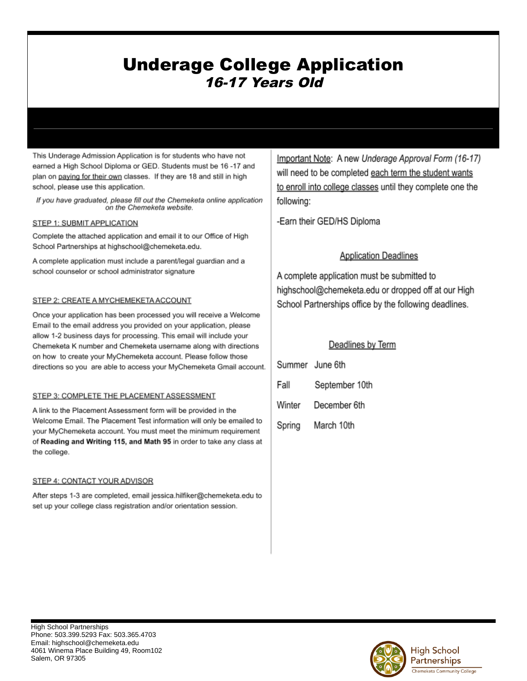# **Underage College Application** 16-17 Years Old

This Underage Admission Application is for students who have not earned a High School Diploma or GED. Students must be 16 -17 and plan on paying for their own classes. If they are 18 and still in high school, please use this application.

If you have graduated, please fill out the Chemeketa online application on the Chemeketa website.

### STEP 1: SUBMIT APPLICATION

Complete the attached application and email it to our Office of High School Partnerships at highschool@chemeketa.edu.

A complete application must include a parent/legal guardian and a school counselor or school administrator signature

## STEP 2: CREATE A MYCHEMEKETA ACCOUNT

Once your application has been processed you will receive a Welcome Email to the email address you provided on your application, please allow 1-2 business days for processing. This email will include your Chemeketa K number and Chemeketa username along with directions on how to create your MyChemeketa account. Please follow those directions so you are able to access your MyChemeketa Gmail account.

### STEP 3: COMPLETE THE PLACEMENT ASSESSMENT

A link to the Placement Assessment form will be provided in the Welcome Email. The Placement Test information will only be emailed to your MyChemeketa account. You must meet the minimum requirement of Reading and Writing 115, and Math 95 in order to take any class at the college.

### STEP 4: CONTACT YOUR ADVISOR

After steps 1-3 are completed, email jessica.hilfiker@chemeketa.edu to set up your college class registration and/or orientation session.

Important Note: A new Underage Approval Form (16-17) will need to be completed each term the student wants to enroll into college classes until they complete one the following:

-Earn their GED/HS Diploma

## **Application Deadlines**

A complete application must be submitted to highschool@chemeketa.edu or dropped off at our High School Partnerships office by the following deadlines.

## Deadlines by Term

| Summer June 6th |                     |
|-----------------|---------------------|
| Fall            | September 10th      |
|                 | Winter December 6th |
| Spring          | March 10th          |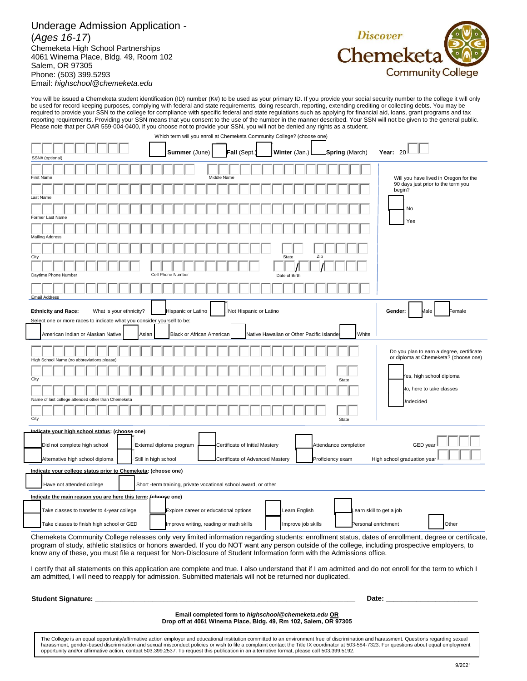#### Underage Admission Application - (*Ages 16-17*) Chemeketa High School Partnerships 4061 Winema Place, Bldg. 49, Room 102 Salem, OR 97305 Phone: (503) 399.5293 Email: *highschool@chemeketa.edu*



You will be issued a Chemeketa student identification (ID) number (K#) to be used as your primary ID. If you provide your social security number to the college it will only be used for record keeping purposes, complying with federal and state requirements, doing research, reporting, extending crediting or collecting debts. You may be required to provide your SSN to the college for compliance with specific federal and state regulations such as applying for financial aid, loans, grant programs and tax reporting requirements. Providing your SSN means that you consent to the use of the number in the manner described. Your SSN will not be given to the general public. Please note that per OAR 559-004-0400, if you choose not to provide your SSN, you will not be denied any rights as a student.

| Which term will you enroll at Chemeketa Community College? (choose one)                                                                               |                                                                 |                                                   |                                                                                    |  |  |  |
|-------------------------------------------------------------------------------------------------------------------------------------------------------|-----------------------------------------------------------------|---------------------------------------------------|------------------------------------------------------------------------------------|--|--|--|
| SSN# (optional)                                                                                                                                       | Summer (June)<br>Fall (Sept.)                                   | Winter (Jan.)<br><b>Spring</b> (March)            | Year: 20                                                                           |  |  |  |
|                                                                                                                                                       |                                                                 |                                                   |                                                                                    |  |  |  |
|                                                                                                                                                       |                                                                 |                                                   |                                                                                    |  |  |  |
| <b>First Name</b>                                                                                                                                     | Middle Name                                                     |                                                   | Will you have lived in Oregon for the<br>90 days just prior to the term you        |  |  |  |
| Last Name                                                                                                                                             |                                                                 |                                                   | begin?                                                                             |  |  |  |
|                                                                                                                                                       |                                                                 |                                                   |                                                                                    |  |  |  |
| Former Last Name                                                                                                                                      |                                                                 |                                                   | No<br>Yes                                                                          |  |  |  |
|                                                                                                                                                       |                                                                 |                                                   |                                                                                    |  |  |  |
| <b>Mailing Address</b>                                                                                                                                |                                                                 |                                                   |                                                                                    |  |  |  |
|                                                                                                                                                       |                                                                 | Zip                                               |                                                                                    |  |  |  |
| City                                                                                                                                                  |                                                                 | State                                             |                                                                                    |  |  |  |
| Cell Phone Number<br>Daytime Phone Number                                                                                                             |                                                                 | Date of Birth                                     |                                                                                    |  |  |  |
| <b>Email Address</b>                                                                                                                                  |                                                                 |                                                   |                                                                                    |  |  |  |
| <b>Ethnicity and Race:</b><br>What is your ethnicity?                                                                                                 | Hispanic or Latino<br>Not Hispanic or Latino                    |                                                   | Male<br>Female<br>Gender:                                                          |  |  |  |
|                                                                                                                                                       |                                                                 |                                                   |                                                                                    |  |  |  |
| Select one or more races to indicate what you consider yourself to be:                                                                                |                                                                 |                                                   |                                                                                    |  |  |  |
| American Indian or Alaskan Native<br>Asian                                                                                                            | <b>Black or African American</b>                                | Native Hawaiian or Other Pacific Islande<br>White |                                                                                    |  |  |  |
| High School Name (no abbreviations please)                                                                                                            |                                                                 |                                                   | Do you plan to earn a degree, certificate<br>or diploma at Chemeketa? (choose one) |  |  |  |
|                                                                                                                                                       |                                                                 |                                                   |                                                                                    |  |  |  |
| City                                                                                                                                                  |                                                                 | State                                             | 'es, high school diploma                                                           |  |  |  |
|                                                                                                                                                       |                                                                 |                                                   | Vo, here to take classes                                                           |  |  |  |
| last college attended other than Chemeketa<br>Name of                                                                                                 |                                                                 |                                                   |                                                                                    |  |  |  |
|                                                                                                                                                       |                                                                 |                                                   | Jndecided                                                                          |  |  |  |
| City                                                                                                                                                  |                                                                 | State                                             |                                                                                    |  |  |  |
| Indicate your high school status: (choose one)                                                                                                        |                                                                 |                                                   |                                                                                    |  |  |  |
| Did not complete high school<br>External diploma program                                                                                              | Certificate of Initial Mastery                                  | Attendance completion                             | GED year                                                                           |  |  |  |
|                                                                                                                                                       |                                                                 |                                                   |                                                                                    |  |  |  |
| Still in high school<br>Alternative high school diploma                                                                                               | Certificate of Advanced Mastery                                 | Proficiency exam                                  | High school graduation year                                                        |  |  |  |
| Indicate your college status prior to Chemeketa: (choose one)                                                                                         |                                                                 |                                                   |                                                                                    |  |  |  |
| Have not attended college                                                                                                                             | Short -term training, private vocational school award, or other |                                                   |                                                                                    |  |  |  |
| Indicate the main reason you are here this term: (choose one)                                                                                         |                                                                 |                                                   |                                                                                    |  |  |  |
| Take classes to transfer to 4-year college                                                                                                            | Explore career or educational options                           | Learn English                                     | earn skill to get a job                                                            |  |  |  |
| Take classes to finish high school or GED                                                                                                             | Improve writing, reading or math skills                         | Improve job skills                                | Personal enrichment<br>Other                                                       |  |  |  |
| Chemeketa Community College releases only very limited information regarding students: enrollment status, dates of enrollment, degree or certificate, |                                                                 |                                                   |                                                                                    |  |  |  |

program of study, athletic statistics or honors awarded. If you do NOT want any person outside of the college, including prospective employers, to know any of these, you must file a request for Non-Disclosure of Student Information form with the Admissions office.

I certify that all statements on this application are complete and true. I also understand that if I am admitted and do not enroll for the term to which I am admitted, I will need to reapply for admission. Submitted materials will not be returned nor duplicated.

**Student Signature: Date: Construction Construction Construction Construction Construction Construction Construction Construction Construction Construction Construction Construction Construction Construction Constructi** 

**Email completed form to** *highschool@chemeketa.edu* **OR Drop off at 4061 Winema Place, Bldg. 49, Rm 102, Salem, OR 97305**

The College is an equal opportunity/affirmative action employer and educational institution committed to an environment free of discrimination and harassment. Questions regarding sexual harassment, gender-based discrimination and sexual misconduct policies or wish to file a complaint contact the Title IX coordinator at 503-584-7323. For questions about equal employment opportunity and/or affirmative action, contact 503.399.2537. To request this publication in an alternative format, please call 503.399.5192.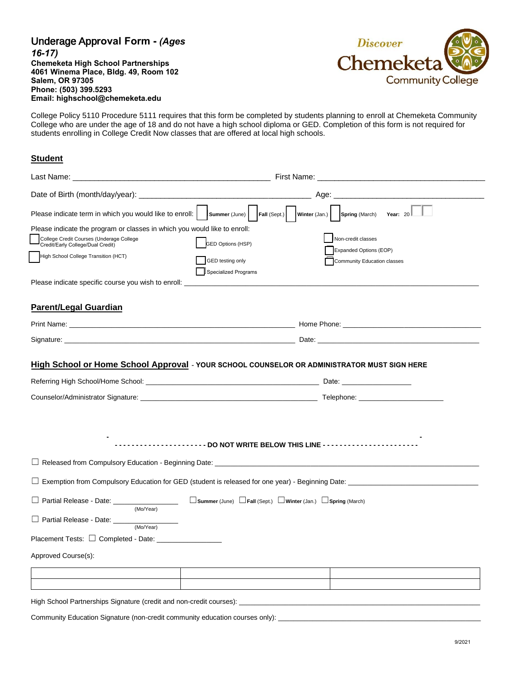| <b>Underage Approval Form - (Ages)</b>    |
|-------------------------------------------|
| $16-17$                                   |
| <b>Chemeketa High School Partnerships</b> |
| 4061 Winema Place, Bldg. 49, Room 102     |
| <b>Salem, OR 97305</b>                    |
| Phone: (503) 399.5293                     |
| Email: highschool@chemeketa.edu           |



College Policy 5110 Procedure 5111 requires that this form be completed by students planning to enroll at Chemeketa Community College who are under the age of 18 and do not have a high school diploma or GED. Completion of this form is not required for students enrolling in College Credit Now classes that are offered at local high schools.

## **Student**

|                                                                                                                                                            | Age:                                                                                                                               |  |  |  |
|------------------------------------------------------------------------------------------------------------------------------------------------------------|------------------------------------------------------------------------------------------------------------------------------------|--|--|--|
|                                                                                                                                                            | Please indicate term in which you would like to enroll: $ \cdot $ summer (June) Fall (Sept.) Winter (Jan.) Spring (March) Year: 20 |  |  |  |
| Please indicate the program or classes in which you would like to enroll:<br>College Credit Courses (Underage College<br>Credit/Early College/Dual Credit) | Non-credit classes<br><b>GED Options (HSP)</b><br>Expanded Options (EOP)                                                           |  |  |  |
| High School College Transition (HCT)                                                                                                                       | GED testing only<br>Community Education classes<br><b>Specialized Programs</b>                                                     |  |  |  |
| Please indicate specific course you wish to enroll:                                                                                                        |                                                                                                                                    |  |  |  |
| <b>Parent/Legal Guardian</b>                                                                                                                               |                                                                                                                                    |  |  |  |
|                                                                                                                                                            |                                                                                                                                    |  |  |  |
|                                                                                                                                                            |                                                                                                                                    |  |  |  |
|                                                                                                                                                            |                                                                                                                                    |  |  |  |
|                                                                                                                                                            | --------------DO NOT WRITE BELOW THIS LINE ----------------------                                                                  |  |  |  |
|                                                                                                                                                            | notable 2011 Released from Compulsory Education - Beginning Date: http://www.com/manuscription.com/manuscription                   |  |  |  |
|                                                                                                                                                            |                                                                                                                                    |  |  |  |
| D Partial Release - Date: _________________<br>(Mo/Year)                                                                                                   | $\Box$ Summer (June) $\Box$ Fall (Sept.) $\Box$ Winter (Jan.) $\Box$ Spring (March)                                                |  |  |  |
| Partial Release - Date: _____<br>(Mo/Year)                                                                                                                 |                                                                                                                                    |  |  |  |
|                                                                                                                                                            |                                                                                                                                    |  |  |  |
| Approved Course(s):                                                                                                                                        |                                                                                                                                    |  |  |  |
|                                                                                                                                                            |                                                                                                                                    |  |  |  |
|                                                                                                                                                            |                                                                                                                                    |  |  |  |
|                                                                                                                                                            |                                                                                                                                    |  |  |  |

Community Education Signature (non-credit community education courses only): \_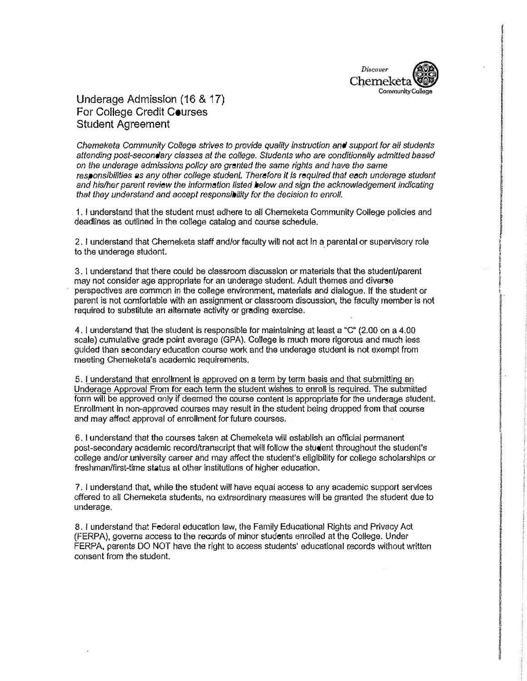

**CHANG** 

I i i

POCKETT, 19771999

## Underage Admission (16 & 17) For College Credit Courses Student Agreement

*Chemeketa Community College strives to provide quality instruction and support for all students attending post-secondary* classes *at the college. Students who are conditionally admitted based on the underage admissions po/Icy are granted the same rights and have the same responsibilities* as *any other college student. Therefore it* Is *required that each underage student end his/her parent review the information listed below end sign the acknowledgement indicating that they understand and accept responsibility for the decision to enroll.* 

1. I understand that the student must adhere to all Chemeketa Community College policies and deadlines as outlined in the college catalog and course schedule.

2. I understand that Chemeketa staff and/or faculty will not act in a parental or supervisory role to the underage student.

3. I understand that there could be classroom discussion or materials that the student/parent may not consider age appropriate for an underage student. Adult themes and diverse perspectives are common in the college environment, materials and dialogue. If the student or parent is not comfortable with an assignment or classroom discussion, the faculty member is not required to substitute an alternate activity or grading exercise.

4. I understand that the student is responsible for maintaining at least a "C"  $(2.00 \text{ on a } 4.00$ scale) cumulative grade point average (GPA). College is much more rigorous and much less guided than secondary education course work and the underage student ls not exempt from meeting Chemeketa's academic requirements.

5. I understand that enrollment is approved on a term by term basis and that submitting an Underage Approval From for each term the student wishes to enroll is required. The submitted form will be approved only if deemed the course content is appropriate for the underage student. Enrollment in non-approved courses may result in the student being dropped from that course and may affect approval of enrollment for future courses.

6. I understand that the courses taken at Chemeketa will establish an official permanent post-secondary academic record/transcript that will follow the student throughout the student's college and/or university career and may affect the student's eligibility for college scholarships or freshman/first-time status at other institutions of higher education.

7. I understand that, while the student will have equal access to any academic support services offered to all Chemeketa students, no extraordinary measures will be granted the student due to underage.

8. I understand that Federal education law, the Family Educational Rights and Privacy Act (FERPA), governs access to the records of minor students enrolled at the College. Under FERPA, parents DO NOT have the right to access students' educational records without written consent from the student.